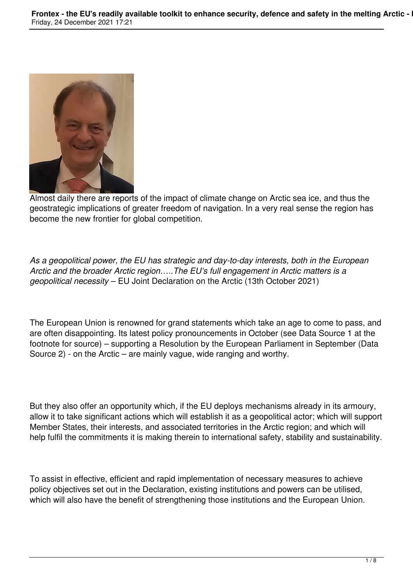

Almost daily there are reports of the impact of climate change on Arctic sea ice, and thus the geostrategic implications of greater freedom of navigation. In a very real sense the region has become the new frontier for global competition.

*As a geopolitical power, the EU has strategic and day-to-day interests, both in the European Arctic and the broader Arctic region…..The EU's full engagement in Arctic matters is a geopolitical necessity* – EU Joint Declaration on the Arctic (13th October 2021)

The European Union is renowned for grand statements which take an age to come to pass, and are often disappointing. Its latest policy pronouncements in October (see Data Source 1 at the footnote for source) – supporting a Resolution by the European Parliament in September (Data Source 2) - on the Arctic – are mainly vague, wide ranging and worthy.

But they also offer an opportunity which, if the EU deploys mechanisms already in its armoury, allow it to take significant actions which will establish it as a geopolitical actor; which will support Member States, their interests, and associated territories in the Arctic region; and which will help fulfil the commitments it is making therein to international safety, stability and sustainability.

To assist in effective, efficient and rapid implementation of necessary measures to achieve policy objectives set out in the Declaration, existing institutions and powers can be utilised, which will also have the benefit of strengthening those institutions and the European Union.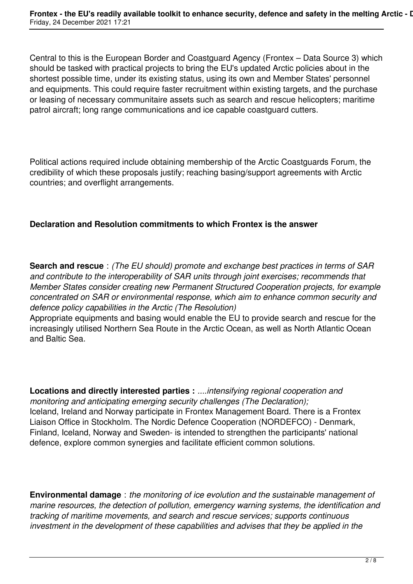Central to this is the European Border and Coastguard Agency (Frontex – Data Source 3) which should be tasked with practical projects to bring the EU's updated Arctic policies about in the shortest possible time, under its existing status, using its own and Member States' personnel and equipments. This could require faster recruitment within existing targets, and the purchase or leasing of necessary communitaire assets such as search and rescue helicopters; maritime patrol aircraft; long range communications and ice capable coastguard cutters.

Political actions required include obtaining membership of the Arctic Coastguards Forum, the credibility of which these proposals justify; reaching basing/support agreements with Arctic countries; and overflight arrangements.

### **Declaration and Resolution commitments to which Frontex is the answer**

**Search and rescue** : *(The EU should) promote and exchange best practices in terms of SAR and contribute to the interoperability of SAR units through joint exercises; recommends that Member States consider creating new Permanent Structured Cooperation projects, for example concentrated on SAR or environmental response, which aim to enhance common security and defence policy capabilities in the Arctic (The Resolution)*

Appropriate equipments and basing would enable the EU to provide search and rescue for the increasingly utilised Northern Sea Route in the Arctic Ocean, as well as North Atlantic Ocean and Baltic Sea.

**Locations and directly interested parties :** *....intensifying regional cooperation and monitoring and anticipating emerging security challenges (The Declaration);* Iceland, Ireland and Norway participate in Frontex Management Board. There is a Frontex Liaison Office in Stockholm. The Nordic Defence Cooperation (NORDEFCO) - Denmark, Finland, Iceland, Norway and Sweden- is intended to strengthen the participants' national defence, explore common synergies and facilitate efficient common solutions.

**Environmental damage** : *the monitoring of ice evolution and the sustainable management of marine resources, the detection of pollution, emergency warning systems, the identification and tracking of maritime movements, and search and rescue services; supports continuous investment in the development of these capabilities and advises that they be applied in the*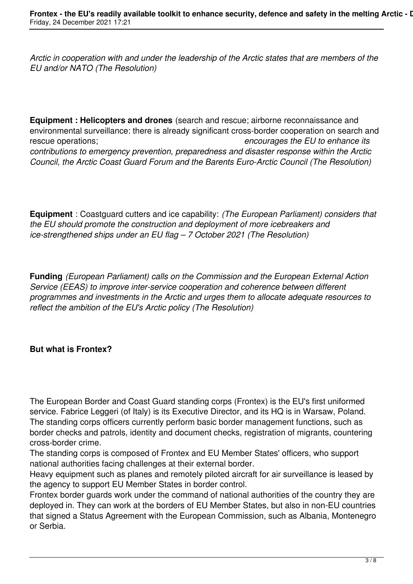*Arctic in cooperation with and under the leadership of the Arctic states that are members of the EU and/or NATO (The Resolution)*

**Equipment : Helicopters and drones** (search and rescue; airborne reconnaissance and environmental surveillance: there is already significant cross-border cooperation on search and rescue operations; *encourages the EU to enhance its contributions to emergency prevention, preparedness and disaster response within the Arctic Council, the Arctic Coast Guard Forum and the Barents Euro-Arctic Council (The Resolution)*

**Equipment** : Coastguard cutters and ice capability: *(The European Parliament) considers that the EU should promote the construction and deployment of more icebreakers and ice-strengthened ships under an EU flag – 7 October 2021 (The Resolution)*

**Funding** *(European Parliament) calls on the Commission and the European External Action Service (EEAS) to improve inter-service cooperation and coherence between different programmes and investments in the Arctic and urges them to allocate adequate resources to reflect the ambition of the EU's Arctic policy (The Resolution)*

# **But what is Frontex?**

The European Border and Coast Guard standing corps (Frontex) is the EU's first uniformed service. Fabrice Leggeri (of Italy) is its Executive Director, and its HQ is in Warsaw, Poland. The standing corps officers currently perform basic border management functions, such as border checks and patrols, identity and document checks, registration of migrants, countering cross-border crime.

The standing corps is composed of Frontex and EU Member States' officers, who support national authorities facing challenges at their external border.

Heavy equipment such as planes and remotely piloted aircraft for air surveillance is leased by the agency to support EU Member States in border control.

Frontex border guards work under the command of national authorities of the country they are deployed in. They can work at the borders of EU Member States, but also in non-EU countries that signed a Status Agreement with the European Commission, such as Albania, Montenegro or Serbia.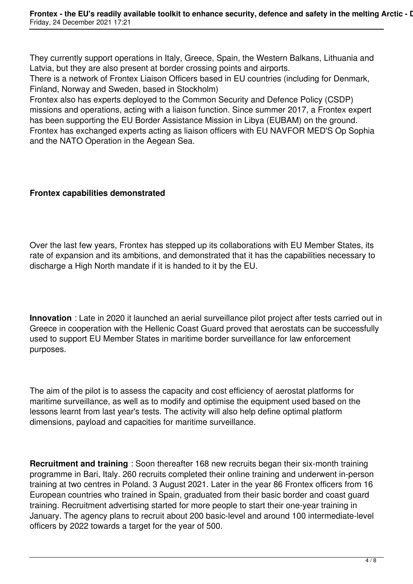They currently support operations in Italy, Greece, Spain, the Western Balkans, Lithuania and Latvia, but they are also present at border crossing points and airports.

There is a network of Frontex Liaison Officers based in EU countries (including for Denmark, Finland, Norway and Sweden, based in Stockholm)

Frontex also has experts deployed to the Common Security and Defence Policy (CSDP) missions and operations, acting with a liaison function. Since summer 2017, a Frontex expert has been supporting the EU Border Assistance Mission in Libya (EUBAM) on the ground. Frontex has exchanged experts acting as liaison officers with EU NAVFOR MED'S Op Sophia and the NATO Operation in the Aegean Sea.

### **Frontex capabilities demonstrated**

Over the last few years, Frontex has stepped up its collaborations with EU Member States, its rate of expansion and its ambitions, and demonstrated that it has the capabilities necessary to discharge a High North mandate if it is handed to it by the EU.

**Innovation** : Late in 2020 it launched an aerial surveillance pilot project after tests carried out in Greece in cooperation with the Hellenic Coast Guard proved that aerostats can be successfully used to support EU Member States in maritime border surveillance for law enforcement purposes.

The aim of the pilot is to assess the capacity and cost efficiency of aerostat platforms for maritime surveillance, as well as to modify and optimise the equipment used based on the lessons learnt from last year's tests. The activity will also help define optimal platform dimensions, payload and capacities for maritime surveillance.

**Recruitment and training** : Soon thereafter 168 new recruits began their six-month training programme in Bari, Italy. 260 recruits completed their online training and underwent in-person training at two centres in Poland. 3 August 2021. Later in the year 86 Frontex officers from 16 European countries who trained in Spain, graduated from their basic border and coast guard training. Recruitment advertising started for more people to start their one-year training in January. The agency plans to recruit about 200 basic-level and around 100 intermediate-level officers by 2022 towards a target for the year of 500.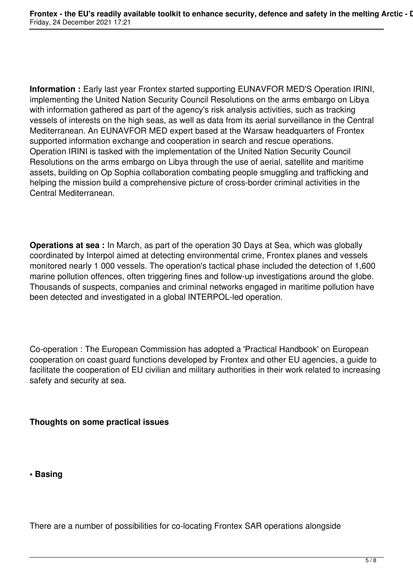**Information :** Early last year Frontex started supporting EUNAVFOR MED'S Operation IRINI, implementing the United Nation Security Council Resolutions on the arms embargo on Libya with information gathered as part of the agency's risk analysis activities, such as tracking vessels of interests on the high seas, as well as data from its aerial surveillance in the Central Mediterranean. An EUNAVFOR MED expert based at the Warsaw headquarters of Frontex supported information exchange and cooperation in search and rescue operations. Operation IRINI is tasked with the implementation of the United Nation Security Council Resolutions on the arms embargo on Libya through the use of aerial, satellite and maritime assets, building on Op Sophia collaboration combating people smuggling and trafficking and helping the mission build a comprehensive picture of cross-border criminal activities in the Central Mediterranean.

**Operations at sea :** In March, as part of the operation 30 Days at Sea, which was globally coordinated by Interpol aimed at detecting environmental crime, Frontex planes and vessels monitored nearly 1 000 vessels. The operation's tactical phase included the detection of 1,600 marine pollution offences, often triggering fines and follow-up investigations around the globe. Thousands of suspects, companies and criminal networks engaged in maritime pollution have been detected and investigated in a global INTERPOL-led operation.

Co-operation : The European Commission has adopted a 'Practical Handbook' on European cooperation on coast guard functions developed by Frontex and other EU agencies, a guide to facilitate the cooperation of EU civilian and military authorities in their work related to increasing safety and security at sea.

**Thoughts on some practical issues**

**• Basing**

There are a number of possibilities for co-locating Frontex SAR operations alongside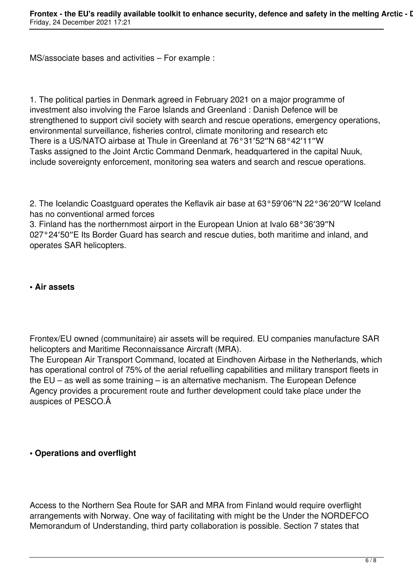MS/associate bases and activities – For example :

1. The political parties in Denmark agreed in February 2021 on a major programme of investment also involving the Faroe Islands and Greenland : Danish Defence will be strengthened to support civil society with search and rescue operations, emergency operations, environmental surveillance, fisheries control, climate monitoring and research etc There is a US/NATO airbase at Thule in Greenland at 76°31′52″N 68°42′11″W Tasks assigned to the Joint Arctic Command Denmark, headquartered in the capital Nuuk, include sovereignty enforcement, monitoring sea waters and search and rescue operations.

2. The Icelandic Coastguard operates the Keflavik air base at 63°59′06″N 22°36′20″W Iceland has no conventional armed forces

3. Finland has the northernmost airport in the European Union at Ivalo 68°36′39″N 027°24′50″E Its Border Guard has search and rescue duties, both maritime and inland, and operates SAR helicopters.

#### **• Air assets**

Frontex/EU owned (communitaire) air assets will be required. EU companies manufacture SAR helicopters and Maritime Reconnaissance Aircraft (MRA).

The European Air Transport Command, located at Eindhoven Airbase in the Netherlands, which has operational control of 75% of the aerial refuelling capabilities and military transport fleets in the EU – as well as some training – is an alternative mechanism. The European Defence Agency provides a procurement route and further development could take place under the auspices of PESCO.

### **• Operations and overflight**

Access to the Northern Sea Route for SAR and MRA from Finland would require overflight arrangements with Norway. One way of facilitating with might be the Under the NORDEFCO Memorandum of Understanding, third party collaboration is possible. Section 7 states that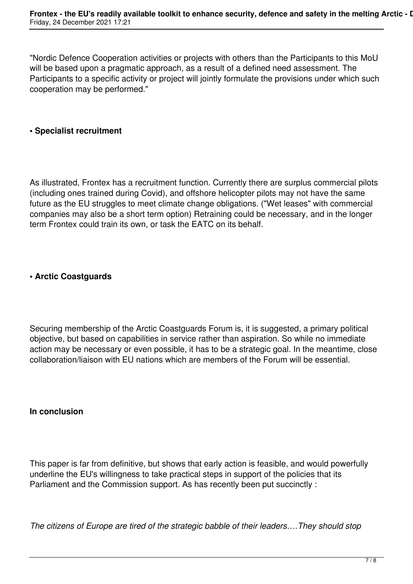"Nordic Defence Cooperation activities or projects with others than the Participants to this MoU will be based upon a pragmatic approach, as a result of a defined need assessment. The Participants to a specific activity or project will jointly formulate the provisions under which such cooperation may be performed."

### **• Specialist recruitment**

As illustrated, Frontex has a recruitment function. Currently there are surplus commercial pilots (including ones trained during Covid), and offshore helicopter pilots may not have the same future as the EU struggles to meet climate change obligations. ("Wet leases" with commercial companies may also be a short term option) Retraining could be necessary, and in the longer term Frontex could train its own, or task the EATC on its behalf.

#### **• Arctic Coastguards**

Securing membership of the Arctic Coastguards Forum is, it is suggested, a primary political objective, but based on capabilities in service rather than aspiration. So while no immediate action may be necessary or even possible, it has to be a strategic goal. In the meantime, close collaboration/liaison with EU nations which are members of the Forum will be essential.

#### **In conclusion**

This paper is far from definitive, but shows that early action is feasible, and would powerfully underline the EU's willingness to take practical steps in support of the policies that its Parliament and the Commission support. As has recently been put succinctly :

*The citizens of Europe are tired of the strategic babble of their leaders….They should stop*